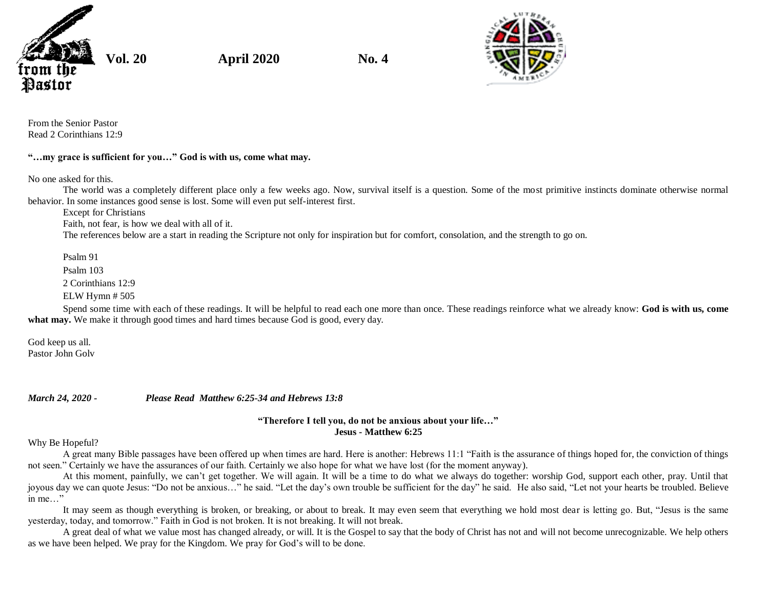

**Vol. 20 April 2020 No. 4**



From the Senior Pastor Read 2 Corinthians 12:9

## **"…my grace is sufficient for you…" God is with us, come what may.**

No one asked for this.

The world was a completely different place only a few weeks ago. Now, survival itself is a question. Some of the most primitive instincts dominate otherwise normal behavior. In some instances good sense is lost. Some will even put self-interest first.

Except for Christians

Faith, not fear, is how we deal with all of it.

The references below are a start in reading the Scripture not only for inspiration but for comfort, consolation, and the strength to go on.

Psalm 91

Psalm 103

2 Corinthians 12:9

ELW Hymn # 505

Spend some time with each of these readings. It will be helpful to read each one more than once. These readings reinforce what we already know: **God is with us, come** what may. We make it through good times and hard times because God is good, every day.

God keep us all. Pastor John Golv

*March 24, 2020 - Please Read Matthew 6:25-34 and Hebrews 13:8*

## **"Therefore I tell you, do not be anxious about your life…" Jesus - Matthew 6:25**

Why Be Hopeful?

A great many Bible passages have been offered up when times are hard. Here is another: Hebrews 11:1 "Faith is the assurance of things hoped for, the conviction of things not seen." Certainly we have the assurances of our faith. Certainly we also hope for what we have lost (for the moment anyway).

At this moment, painfully, we can't get together. We will again. It will be a time to do what we always do together: worship God, support each other, pray. Until that joyous day we can quote Jesus: "Do not be anxious…" he said. "Let the day's own trouble be sufficient for the day" he said. He also said, "Let not your hearts be troubled. Believe in me…"

It may seem as though everything is broken, or breaking, or about to break. It may even seem that everything we hold most dear is letting go. But, "Jesus is the same yesterday, today, and tomorrow." Faith in God is not broken. It is not breaking. It will not break.

A great deal of what we value most has changed already, or will. It is the Gospel to say that the body of Christ has not and will not become unrecognizable. We help others as we have been helped. We pray for the Kingdom. We pray for God's will to be done.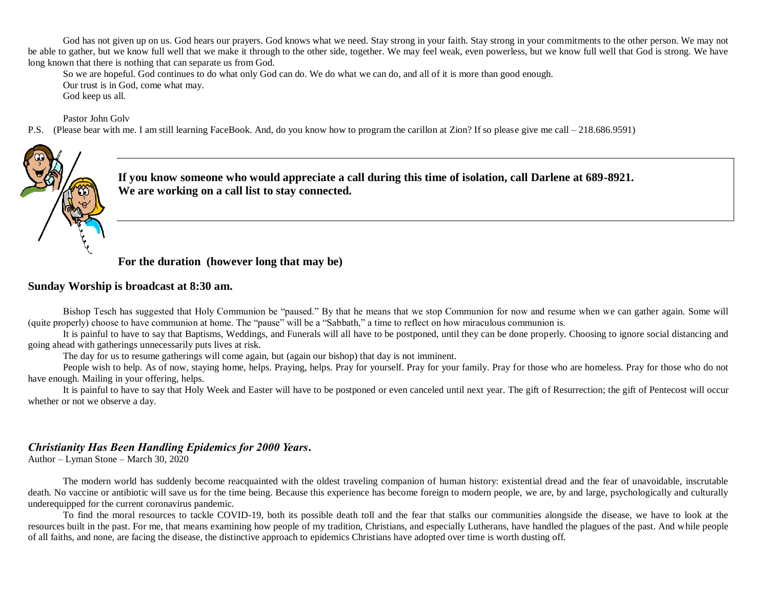God has not given up on us. God hears our prayers. God knows what we need. Stay strong in your faith. Stay strong in your commitments to the other person. We may not be able to gather, but we know full well that we make it through to the other side, together. We may feel weak, even powerless, but we know full well that God is strong. We have long known that there is nothing that can separate us from God.

So we are hopeful. God continues to do what only God can do. We do what we can do, and all of it is more than good enough. Our trust is in God, come what may. God keep us all.

Pastor John Golv

P.S. (Please bear with me. I am still learning FaceBook. And, do you know how to program the carillon at Zion? If so please give me call – 218.686.9591)



**If you know someone who would appreciate a call during this time of isolation, call Darlene at 689-8921. We are working on a call list to stay connected.** 

**For the duration (however long that may be)**

## **Sunday Worship is broadcast at 8:30 am.**

Bishop Tesch has suggested that Holy Communion be "paused." By that he means that we stop Communion for now and resume when we can gather again. Some will (quite properly) choose to have communion at home. The "pause" will be a "Sabbath," a time to reflect on how miraculous communion is.

It is painful to have to say that Baptisms, Weddings, and Funerals will all have to be postponed, until they can be done properly. Choosing to ignore social distancing and going ahead with gatherings unnecessarily puts lives at risk.

The day for us to resume gatherings will come again, but (again our bishop) that day is not imminent.

People wish to help. As of now, staying home, helps. Praying, helps. Pray for yourself. Pray for your family. Pray for those who are homeless. Pray for those who do not have enough. Mailing in your offering, helps.

It is painful to have to say that Holy Week and Easter will have to be postponed or even canceled until next year. The gift of Resurrection; the gift of Pentecost will occur whether or not we observe a day.

## *Christianity Has Been Handling Epidemics for 2000 Years***.**

Author – Lyman Stone – March 30, 2020

The modern world has suddenly become reacquainted with the oldest traveling companion of human history: existential dread and the fear of unavoidable, inscrutable death. No vaccine or antibiotic will save us for the time being. Because this experience has become foreign to modern people, we are, by and large, psychologically and culturally underequipped for the current coronavirus pandemic.

To find the moral resources to tackle COVID-19, both its possible death toll and the fear that stalks our communities alongside the disease, we have to look at the resources built in the past. For me, that means examining how people of my tradition, Christians, and especially Lutherans, have handled the plagues of the past. And while people of all faiths, and none, are facing the disease, the distinctive approach to epidemics Christians have adopted over time is worth dusting off.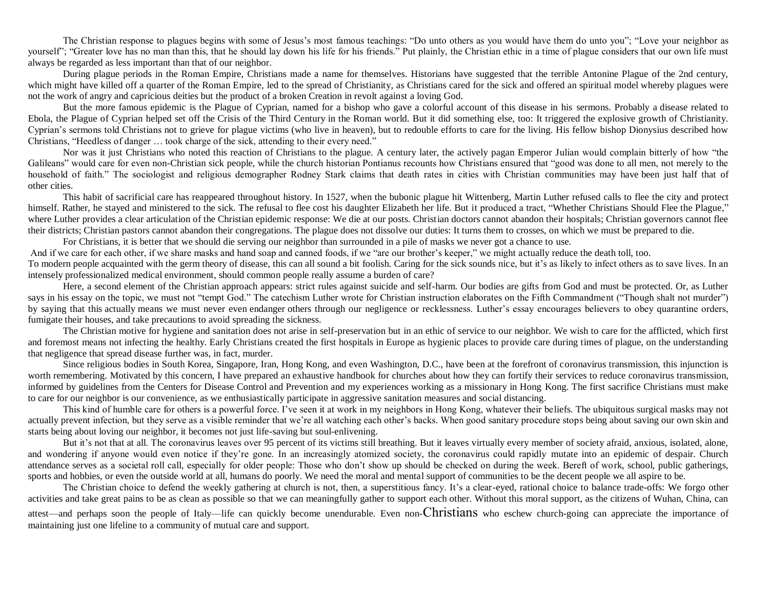The Christian response to plagues begins with some of Jesus's most famous teachings: "Do unto others as you would have them do unto you"; "Love your neighbor as yourself"; "Greater love has no man than this, that he should lay down his life for his friends." Put plainly, the Christian ethic in a time of plague considers that our own life must always be regarded as less important than that of our neighbor.

During plague periods in the Roman Empire, Christians made a name for themselves. Historians have suggested that the terrible Antonine Plague of the 2nd century, which might have killed off a quarter of the Roman Empire, [led to the spread of Christianity,](https://www.biblicalarchaeology.org/daily/ancient-cultures/daily-life-and-practice/the-antonine-plague-and-the-spread-of-christianity/) as Christians cared for the sick and offered an spiritual model whereby plagues were not the work of angry and capricious deities but the product of a broken Creation in revolt against a loving God.

But the more famous epidemic is the Plague of Cyprian, named for a bishop who gave a colorful account of this disease in his sermons. Probably a [disease related to](https://www.theatlantic.com/science/archive/2017/11/solving-the-mystery-of-an-ancient-roman-plague/543528/)  [Ebola,](https://www.theatlantic.com/science/archive/2017/11/solving-the-mystery-of-an-ancient-roman-plague/543528/) the Plague of Cyprian helped set off the [Crisis of the Third Century](https://historycollection.co/4-reasons-third-century-crisis-rome-occurred-fixed/) in the Roman world. But it did something else, too: It triggered the explosive growth of Christianity. Cyprian's sermons told Christians [not to grieve for plague victims](https://books.google.com.hk/books/about/The_Rise_of_Christianity.html?id=HcFSaGvgKKkC&printsec=frontcover&source=kp_read_button&redir_esc=y#v=onepage&q=cyprian&f=false) (who live in heaven), but to redouble efforts to care for the living. His fellow bishop Dionysius described how Christians, "Heedless of danger … took charge of the sick, attending to their every need."

Nor was it just Christians who noted this reaction of Christians to the plague. A century later, the actively pagan Emperor Julian would complain bitterly of how "the Galileans" would care for even non-Christian sick people, while the church historian Pontianus recounts how Christians ensured that "good was done to all men, not merely to the household of faith." The sociologist and religious demographer Rodney Stark claims that death rates in cities with Christian communities may have been just half that of [other](https://books.google.com.hk/books/about/The_Rise_of_Christianity.html?id=HcFSaGvgKKkC&printsec=frontcover&source=kp_read_button&redir_esc=y#v=onepage&q=cyprian&f=false) cities.

This habit of sacrificial care has reappeared throughout history. In 1527, when the bubonic plague hit Wittenberg, Martin Luther refused calls to flee the city and protect himself. Rather, he stayed and ministered to the sick. The refusal to flee cost his daughter Elizabeth her life. But it produced a tract, ["Whether Christians Should Flee the Plague,"](https://tryingsmall.files.wordpress.com/2014/08/luther-on-plague.pdf) where Luther provides a clear articulation of the Christian epidemic response: We die at our posts. Christian doctors cannot abandon their hospitals; Christian governors cannot flee their districts; Christian pastors cannot abandon their congregations. The plague does not dissolve our duties: It turns them to crosses, on which we must be prepared to die.

For Christians, it is better that we should die serving our neighbor than surrounded in a pile of masks we never got a chance to use.

And if we care for each other, if we share masks and hand soap and canned foods, if we "are our brother's keeper," we might actually reduce the death toll, too.

To modern people acquainted with the germ theory of disease, this can all sound a bit foolish. Caring for the sick sounds nice, but it's as likely to infect others as to save lives. In an intensely professionalized medical environment, should common people really assume a burden of care?

Here, a second element of the Christian approach appears: strict rules against suicide and self-harm. Our bodies are gifts from God and must be protected. Or, as Luther says in his essay on the topic, we must not "tempt God." The catechism Luther wrote for Christian instruction elaborates on the Fifth Commandment ("Though shalt not murder") by saying that this actually means we must never even endanger others through our negligence or recklessness. Luther's essay encourages believers to obey quarantine orders, fumigate their houses, and take precautions to avoid spreading the sickness.

The Christian motive for hygiene and sanitation does not arise in self-preservation but in an ethic of service to our neighbor. We wish to care for the afflicted, which first and foremost means not infecting the healthy. Early Christians created the first hospitals in Europe as hygienic places to provide care during times of plague, on the understanding that negligence that spread disease further was, in fact, murder.

Since religious bodies in South Korea, Singapore, Iran, Hong Kong, and even Washington, D.C., have been at the forefront of coronavirus transmission, this injunction is worth remembering. Motivated by this concern, I have prepared an [exhaustive handbook for churches](https://docs.google.com/document/d/13bKFzl1PvObLlRXTx9pIPMOyBWiGkKhHdXu_iWXUqjM/edit?usp=sharing) about how they can fortify their services to reduce coronavirus transmission, informed by guidelines from the Centers for Disease Control and Prevention and my experiences working as a missionary in Hong Kong. The first sacrifice Christians must make to care for our neighbor is our convenience, as we enthusiastically participate in aggressive sanitation measures and social distancing.

This kind of humble care for others is a powerful force. I've seen it at work in my neighbors in Hong Kong, whatever their beliefs. The ubiquitous surgical masks may not actually prevent infection, but they serve as a visible reminder that we're all watching each other's backs. When good sanitary procedure stops being about saving our own skin and starts being about loving our neighbor, it becomes not just life-saving but soul-enlivening.

But it's not that at all. The coronavirus leaves over [95 percent](https://www.who.int/dg/speeches/detail/who-director-general-s-opening-remarks-at-the-media-briefing-on-covid-19---3-march-2020) of its victims still breathing. But it leaves virtually every member of society afraid, anxious, isolated, alone, and wondering if anyone would even notice if they're gone. In an increasingly atomized society, the coronavirus could rapidly mutate into an epidemic of despair. Church attendance serves as a societal roll call, especially for older people: Those who don't show up should be checked on during the week. Bereft of work, school, public gatherings, sports and hobbies, or even the outside world at all, humans do poorly. We need the moral and mental support of communities to be the decent people we all aspire to be.

The Christian choice to defend the weekly gathering at church is not, then, a superstitious fancy. It's a clear-eyed, rational choice to balance trade-offs: We forgo other activities and take great pains to be as clean as possible so that we can meaningfully gather to support each other. Without this moral support, as the citizens of Wuhan, China, can attest—and perhaps soon the people of Italy—life can quickly become unendurable. Even non-Christians who eschew church-going can appreciate the importance of maintaining just one lifeline to a community of mutual care and support.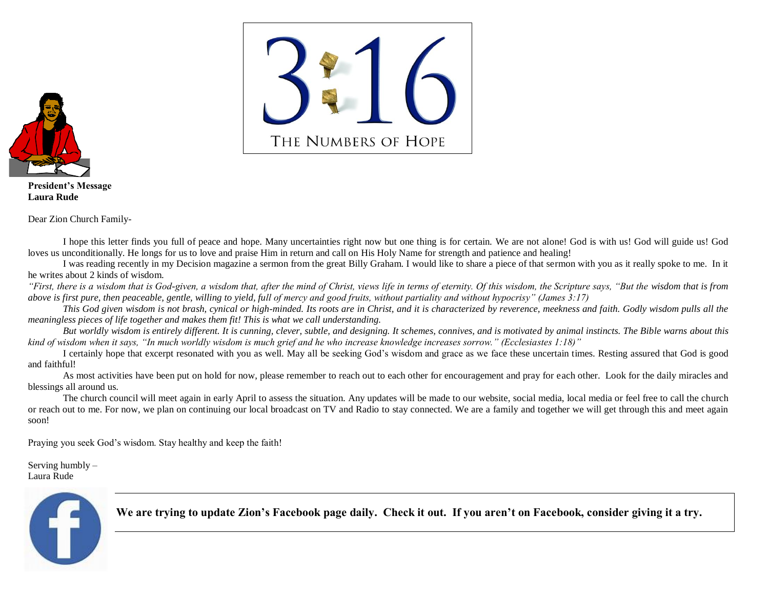

**President's Message Laura Rude**

Dear Zion Church Family-

I hope this letter finds you full of peace and hope. Many uncertainties right now but one thing is for certain. We are not alone! God is with us! God will guide us! God loves us unconditionally. He longs for us to love and praise Him in return and call on His Holy Name for strength and patience and healing!

I was reading recently in my Decision magazine a sermon from the great Billy Graham. I would like to share a piece of that sermon with you as it really spoke to me. In it he writes about 2 kinds of wisdom.

*"First, there is a wisdom that is God-given, a wisdom that, after the mind of Christ, views life in terms of eternity. Of this wisdom, the Scripture says, "But the wisdom that is from above is first pure, then peaceable, gentle, willing to yield, full of mercy and good fruits, without partiality and without hypocrisy" (James 3:17)*

*This God given wisdom is not brash, cynical or high-minded. Its roots are in Christ, and it is characterized by reverence, meekness and faith. Godly wisdom pulls all the meaningless pieces of life together and makes them fit! This is what we call understanding.*

*But worldly wisdom is entirely different. It is cunning, clever, subtle, and designing. It schemes, connives, and is motivated by animal instincts. The Bible warns about this kind of wisdom when it says, "In much worldly wisdom is much grief and he who increase knowledge increases sorrow." (Ecclesiastes 1:18)"*

I certainly hope that excerpt resonated with you as well. May all be seeking God's wisdom and grace as we face these uncertain times. Resting assured that God is good and faithful!

As most activities have been put on hold for now, please remember to reach out to each other for encouragement and pray for each other. Look for the daily miracles and blessings all around us.

The church council will meet again in early April to assess the situation. Any updates will be made to our website, social media, local media or feel free to call the church or reach out to me. For now, we plan on continuing our local broadcast on TV and Radio to stay connected. We are a family and together we will get through this and meet again soon!

Praying you seek God's wisdom. Stay healthy and keep the faith!

Serving humbly – Laura Rude



**We are trying to update Zion's Facebook page daily. Check it out. If you aren't on Facebook, consider giving it a try.**

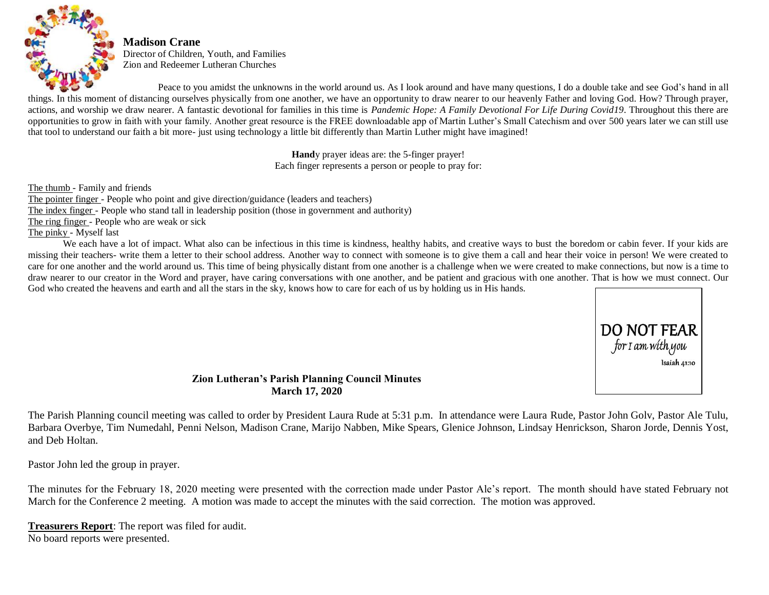

**Madison Crane** Director of Children, Youth, and Families Zion and Redeemer Lutheran Churches

Peace to you amidst the unknowns in the world around us. As I look around and have many questions, I do a double take and see God's hand in all things. In this moment of distancing ourselves physically from one another, we have an opportunity to draw nearer to our heavenly Father and loving God. How? Through prayer, actions, and worship we draw nearer. A fantastic devotional for families in this time is *Pandemic Hope: A Family Devotional For Life During Covid19*. Throughout this there are opportunities to grow in faith with your family. Another great resource is the FREE downloadable app of Martin Luther's Small Catechism and over 500 years later we can still use that tool to understand our faith a bit more- just using technology a little bit differently than Martin Luther might have imagined!

> **Hand**y prayer ideas are: the 5-finger prayer! Each finger represents a person or people to pray for:

The thumb - Family and friends The pointer finger - People who point and give direction/guidance (leaders and teachers) The index finger - People who stand tall in leadership position (those in government and authority) The ring finger - People who are weak or sick The pinky - Myself last

We each have a lot of impact. What also can be infectious in this time is kindness, healthy habits, and creative ways to bust the boredom or cabin fever. If your kids are missing their teachers- write them a letter to their school address. Another way to connect with someone is to give them a call and hear their voice in person! We were created to care for one another and the world around us. This time of being physically distant from one another is a challenge when we were created to make connections, but now is a time to draw nearer to our creator in the Word and prayer, have caring conversations with one another, and be patient and gracious with one another. That is how we must connect. Our God who created the heavens and earth and all the stars in the sky, knows how to care for each of us by holding us in His hands.



**Zion Lutheran's Parish Planning Council Minutes March 17, 2020**

The Parish Planning council meeting was called to order by President Laura Rude at 5:31 p.m. In attendance were Laura Rude, Pastor John Golv, Pastor Ale Tulu, Barbara Overbye, Tim Numedahl, Penni Nelson, Madison Crane, Marijo Nabben, Mike Spears, Glenice Johnson, Lindsay Henrickson, Sharon Jorde, Dennis Yost, and Deb Holtan.

Pastor John led the group in prayer.

The minutes for the February 18, 2020 meeting were presented with the correction made under Pastor Ale's report. The month should have stated February not March for the Conference 2 meeting. A motion was made to accept the minutes with the said correction. The motion was approved.

**Treasurers Report**: The report was filed for audit. No board reports were presented.